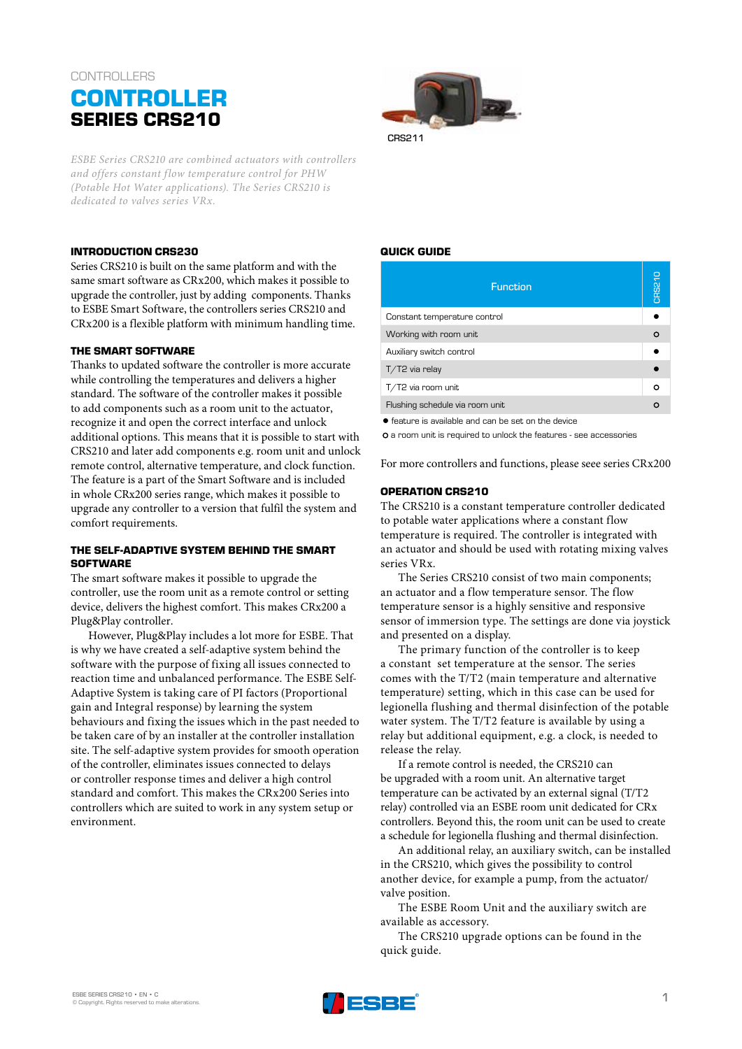# **CONTROLLERS**



*ESBE Series CRS210 are combined actuators with controllers and offers constant flow temperature control for PHW (Potable Hot Water applications). The Series CRS210 is dedicated to valves series VRx.*

# **INTRODUCTION CRS230**

Series CRS210 is built on the same platform and with the same smart software as CRx200, which makes it possible to upgrade the controller, just by adding components. Thanks to ESBE Smart Software, the controllers series CRS210 and CRx200 is a flexible platform with minimum handling time.

#### **THE SMART SOFTWARE**

Thanks to updated software the controller is more accurate while controlling the temperatures and delivers a higher standard. The software of the controller makes it possible to add components such as a room unit to the actuator, recognize it and open the correct interface and unlock additional options. This means that it is possible to start with CRS210 and later add components e.g. room unit and unlock remote control, alternative temperature, and clock function. The feature is a part of the Smart Software and is included in whole CRx200 series range, which makes it possible to upgrade any controller to a version that fulfil the system and comfort requirements.

#### **THE SELF-ADAPTIVE SYSTEM BEHIND THE SMART SOFTWARE**

The smart software makes it possible to upgrade the controller, use the room unit as a remote control or setting device, delivers the highest comfort. This makes CRx200 a Plug&Play controller.

However, Plug&Play includes a lot more for ESBE. That is why we have created a self-adaptive system behind the software with the purpose of fixing all issues connected to reaction time and unbalanced performance. The ESBE Self-Adaptive System is taking care of PI factors (Proportional gain and Integral response) by learning the system behaviours and fixing the issues which in the past needed to be taken care of by an installer at the controller installation site. The self-adaptive system provides for smooth operation of the controller, eliminates issues connected to delays or controller response times and deliver a high control standard and comfort. This makes the CRx200 Series into controllers which are suited to work in any system setup or environment.

### **QUICK GUIDE**

CRS211

| <b>Function</b>                 | CRS21 |
|---------------------------------|-------|
| Constant temperature control    |       |
| Working with room unit          | Ω     |
| Auxiliary switch control        |       |
| T/T2 via relay                  |       |
| T/T2 via room unit              | Ω     |
| Flushing schedule via room unit |       |
|                                 |       |

● feature is available and can be set on the device

a room unit is required to unlock the features - see accessories

For more controllers and functions, please seee series CRx200

# **OPERATION CRS210**

The CRS210 is a constant temperature controller dedicated to potable water applications where a constant flow temperature is required. The controller is integrated with an actuator and should be used with rotating mixing valves series VRx.

The Series CRS210 consist of two main components; an actuator and a flow temperature sensor. The flow temperature sensor is a highly sensitive and responsive sensor of immersion type. The settings are done via joystick and presented on a display.

The primary function of the controller is to keep a constant set temperature at the sensor. The series comes with the T/T2 (main temperature and alternative temperature) setting, which in this case can be used for legionella flushing and thermal disinfection of the potable water system. The T/T2 feature is available by using a relay but additional equipment, e.g. a clock, is needed to release the relay.

If a remote control is needed, the CRS210 can be upgraded with a room unit. An alternative target temperature can be activated by an external signal (T/T2 relay) controlled via an ESBE room unit dedicated for CRx controllers. Beyond this, the room unit can be used to create a schedule for legionella flushing and thermal disinfection.

An additional relay, an auxiliary switch, can be installed in the CRS210, which gives the possibility to control another device, for example a pump, from the actuator/ valve position.

The ESBE Room Unit and the auxiliary switch are available as accessory.

The CRS210 upgrade options can be found in the quick guide.

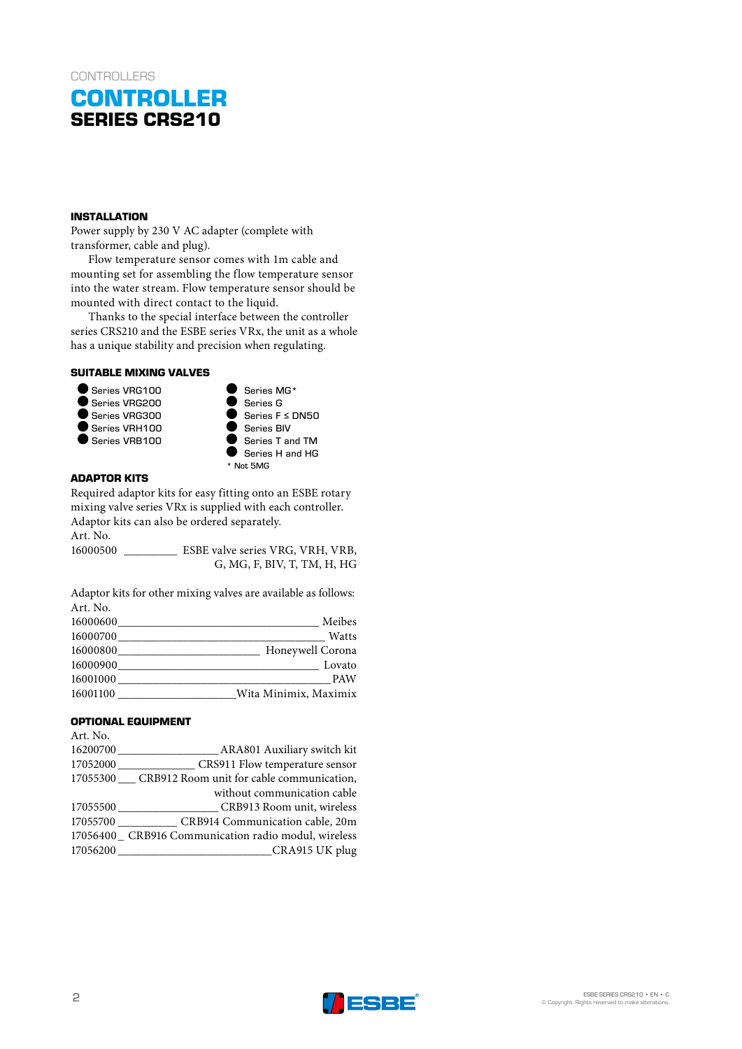# **CONTROLLER SERIES CRS210**

### **INSTALLATION**

Power supply by 230 V AC adapter (complete with transformer, cable and plug).

Flow temperature sensor comes with 1m cable and mounting set for assembling the flow temperature sensor into the water stream. Flow temperature sensor should be mounted with direct contact to the liquid.

Thanks to the special interface between the controller series CRS210 and the ESBE series VRx, the unit as a whole has a unique stability and precision when regulating.

# **SUITABLE MIXING VALVES**





# **ADAPTOR KITS**

Required adaptor kits for easy fitting onto an ESBE rotary mixing valve series VRx is supplied with each controller. Adaptor kits can also be ordered separately. Art. No.

16000500 \_\_\_\_\_\_\_\_\_ ESBE valve series VRG, VRH, VRB, G, MG, F, BIV, T, TM, H, HG

Adaptor kits for other mixing valves are available as follows: Art. No.

| 16000600 | Meibes                |
|----------|-----------------------|
| 16000700 | Watts                 |
| 16000800 | Honeywell Corona      |
| 16000900 | Lovato                |
| 16001000 | <b>PAW</b>            |
| 16001100 | Wita Minimix, Maximix |

## **OPTIONAL EQUIPMENT**

| Art. No. |                                                          |
|----------|----------------------------------------------------------|
|          |                                                          |
|          | 17052000 ________________ CRS911 Flow temperature sensor |
|          | 17055300 __ CRB912 Room unit for cable communication,    |
|          | without communication cable                              |
|          | 17055500 CRB913 Room unit, wireless                      |
|          | 17055700 CRB914 Communication cable, 20m                 |
|          | 17056400 CRB916 Communication radio modul, wireless      |
|          |                                                          |
|          |                                                          |

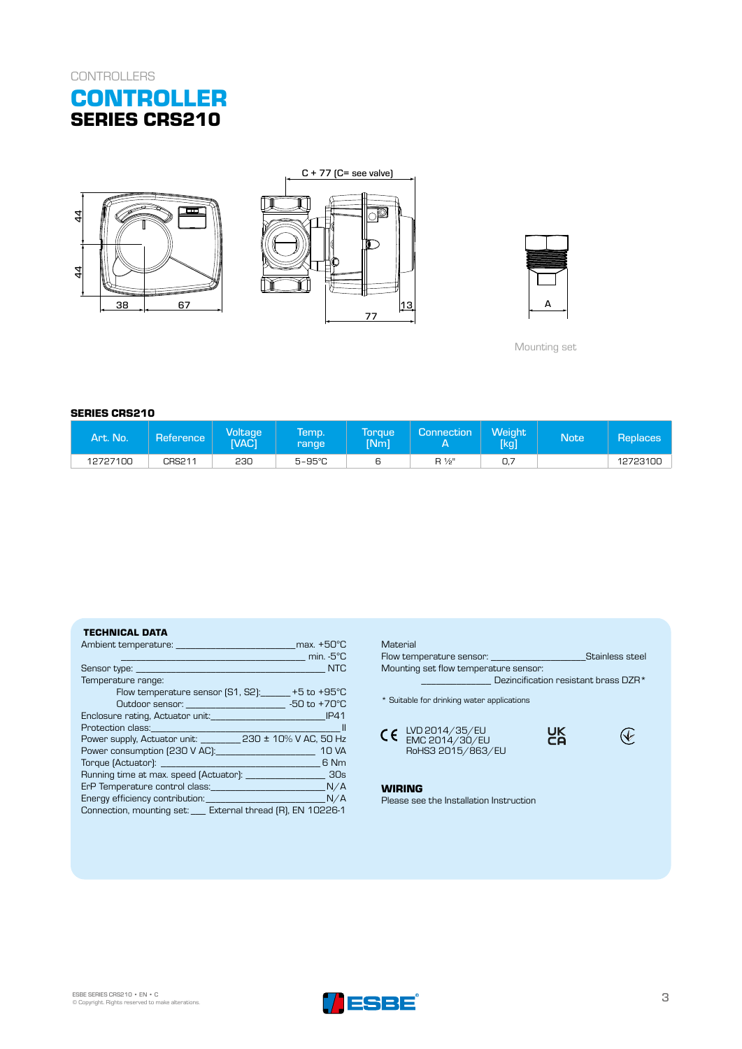







Mounting set

#### **SERIES CRS210**

| Art. No. | Reference <b>\</b> | Voltage<br><b>TVAC1</b> | <b>lemp.</b><br>range | Toraue<br><b>INml</b> | Connection     | <b>Weight</b><br>[kg] | Note <sup>1</sup> | <b>Replaces</b> |
|----------|--------------------|-------------------------|-----------------------|-----------------------|----------------|-----------------------|-------------------|-----------------|
| 12727100 | CRS211             | 230                     | $5 - 95^{\circ}$ C    | ь                     | $R\frac{1}{2}$ | 0.                    |                   | 12723100        |

#### **TECHNICAL DATA**

| max. +50°C                                                                            |
|---------------------------------------------------------------------------------------|
| min. -5°C                                                                             |
| <b>NTC</b>                                                                            |
| Temperature range:                                                                    |
| Flow temperature sensor $(S1, S2)$ : $+5$ to $+95^{\circ}$ C                          |
| $-50$ to $+70^{\circ}$ C<br>Outdoor sensor: ________________________                  |
| Enclosure rating, Actuator unit: <u>container and container and container</u><br>IP41 |
| - 11                                                                                  |
| Power supply, Actuator unit: ___________ 230 ± 10% V AC, 50 Hz                        |
| <b>10 VA</b>                                                                          |
| 6 Nm                                                                                  |
|                                                                                       |
| ErP Temperature control class: Manual Manual M/A                                      |
| N/A                                                                                   |
| Connection, mounting set: ___ External thread (R), EN 10226-1                         |

## **Material** Flow temperature sensor: \_\_\_\_\_\_\_\_\_\_\_\_\_\_\_\_\_\_\_Stainless steel Mounting set flow temperature sensor: \_\_\_\_\_\_\_\_\_\_\_\_\_\_ Dezincification resistant brass DZR\* \* Suitable for drinking water applications UK<br>CA  $\bigcirc$ LVD 2014/35/EU EMC 2014/30/EU RoHS3 2015/863/EU

# **WIRING**

Please see the Installation Instruction

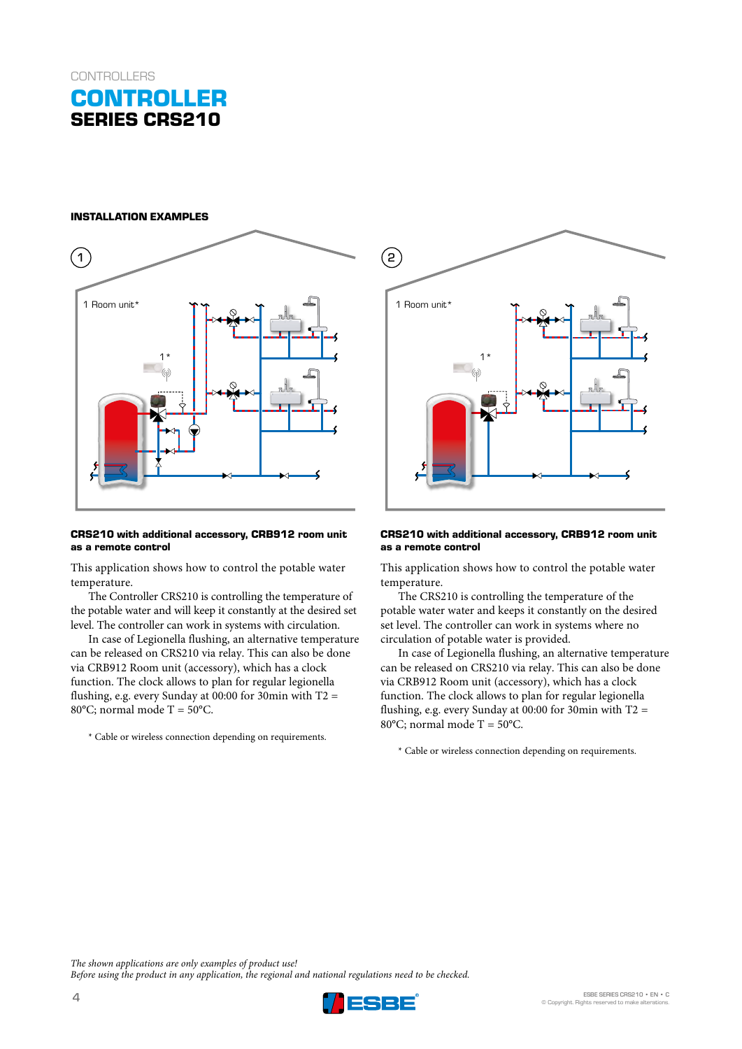# **CONTROLLER SERIES CRS210**

#### **INSTALLATION EXAMPLES**



#### **CRS210 with additional accessory, CRB912 room unit as a remote control**

This application shows how to control the potable water temperature.

The Controller CRS210 is controlling the temperature of the potable water and will keep it constantly at the desired set level. The controller can work in systems with circulation.

In case of Legionella flushing, an alternative temperature can be released on CRS210 via relay. This can also be done via CRB912 Room unit (accessory), which has a clock function. The clock allows to plan for regular legionella flushing, e.g. every Sunday at 00:00 for 30min with T2 = 80 $^{\circ}$ C: normal mode T = 50 $^{\circ}$ C.

\* Cable or wireless connection depending on requirements.



#### **CRS210 with additional accessory, CRB912 room unit as a remote control**

This application shows how to control the potable water temperature.

The CRS210 is controlling the temperature of the potable water water and keeps it constantly on the desired set level. The controller can work in systems where no circulation of potable water is provided.

In case of Legionella flushing, an alternative temperature can be released on CRS210 via relay. This can also be done via CRB912 Room unit (accessory), which has a clock function. The clock allows to plan for regular legionella flushing, e.g. every Sunday at 00:00 for 30min with  $T2 =$ 80 $^{\circ}$ C; normal mode T = 50 $^{\circ}$ C.

\* Cable or wireless connection depending on requirements.

*The shown applications are only examples of product use! Before using the product in any application, the regional and national regulations need to be checked.*